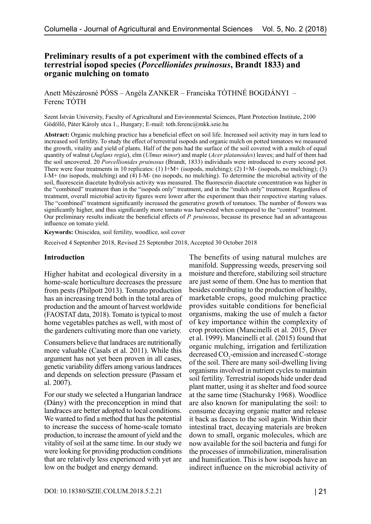# **Preliminary results of a pot experiment with the combined effects of a terrestrial isopod species (***Porcellionides pruinosus***, Brandt 1833) and organic mulching on tomato**

Anett Mészárosné PÓSS – Angéla ZANKER – Franciska TÓTHNÉ BOGDÁNYI – Ferenc TÓTH

Szent István University, Faculty of Agricultural and Environmental Sciences, Plant Protection Institute, 2100 Gödöllő, Páter Károly utca 1., Hungary; E-mail: toth.ferenc@mkk.szie.hu

**Abstract:** Organic mulching practice has a beneficial effect on soil life. Increased soil activity may in turn lead to increased soil fertility. To study the effect of terrestrial isopods and organic mulch on potted tomatoes we measured the growth, vitality and yield of plants. Half of the pots had the surface of the soil covered with a mulch of equal quantity of walnut (*Juglans regia*), elm (*Ulmus minor*) and maple (*Acer platanoides*) leaves; and half of them had the soil uncovered. 20 *Porcellionides pruinosus* (Brandt, 1833) individuals were introduced to every second pot. There were four treatments in 10 replicates: (1) I+M+ (isopods, mulching); (2) I+M- (isopods, no mulching); (3) I-M+ (no isopods, mulching) and (4) I-M- (no isopods, no mulching). To determine the microbial activity of the soil, fluorescein diacetate hydrolysis activity was measured. The fluorescein diacetate concentration was higher in the "combined" treatment than in the "isopods only" treatment, and in the "mulch only" treatment. Regardless of treatment, overall microbial activity figures were lower after the experiment than their respective starting values. The "combined" treatment significantly increased the generative growth of tomatoes. The number of flowers was significantly higher, and thus significantly more tomato was harvested when compared to the "control" treatment. Our preliminary results indicate the beneficial effects of *P. pruinosus*, because its presence had an advantageous influence on tomato yield.

**Keywords:** Oniscidea, soil fertility, woodlice, soil cover

Received 4 September 2018, Revised 25 September 2018, Accepted 30 October 2018

### **Introduction**

Higher habitat and ecological diversity in a home-scale horticulture decreases the pressure from pests (Philpott 2013). Tomato production has an increasing trend both in the total area of production and the amount of harvest worldwide (FAOSTAT data, 2018). Tomato is typical to most home vegetables patches as well, with most of the gardeners cultivating more than one variety.

Consumers believe that landraces are nutritionally more valuable (Casals et al. 2011). While this argument has not yet been proven in all cases, genetic variability differs among various landraces and depends on selection pressure (Passam et al. 2007).

For our study we selected a Hungarian landrace (Dány) with the preconception in mind that landraces are better adopted to local conditions. We wanted to find a method that has the potential to increase the success of home-scale tomato production, to increase the amount of yield and the vitality of soil at the same time. In our study we were looking for providing production conditions that are relatively less experienced with yet are low on the budget and energy demand.

The benefits of using natural mulches are manifold. Suppressing weeds, preserving soil moisture and therefore, stabilizing soil structure are just some of them. One has to mention that besides contributing to the production of healthy, marketable crops, good mulching practice provides suitable conditions for beneficial organisms, making the use of mulch a factor of key importance within the complexity of crop protection [\(Mancinelli et al. 2015](http://www.sciencedirect.com/science/article/pii/S0167198715000811?via%3Dihub), [Diver](https://attra.ncat.org/attra-pub/summaries/summary.php?pub=33#training) [et al. 1999\)](https://attra.ncat.org/attra-pub/summaries/summary.php?pub=33#training). [Mancinelli et al. \(2015\)](http://linkinghub.elsevier.com/retrieve/pii/S0167198715000811) found that organic mulching, irrigation and fertilization decreased  $CO<sub>2</sub>$ -emission and increased C-storage of the soil. There are many soil-dwelling living organisms involved in nutrient cycles to maintain soil fertility. Terrestrial isopods hide under dead plant matter, using it as shelter and food source at the same time ([Stachursky 1968\)](https://www.ncbi.nlm.nih.gov/pmc/articles/PMC3335418/#B28). Woodlice are also known for manipulating the soil: to consume decaying organic matter and release it back as faeces to the soil again. Within their intestinal tract, decaying materials are broken down to small, organic molecules, which are now available for the soil bacteria and fungi for the processes of immobilization, mineralisation and humification. This is how isopods have an indirect influence on the microbial activity of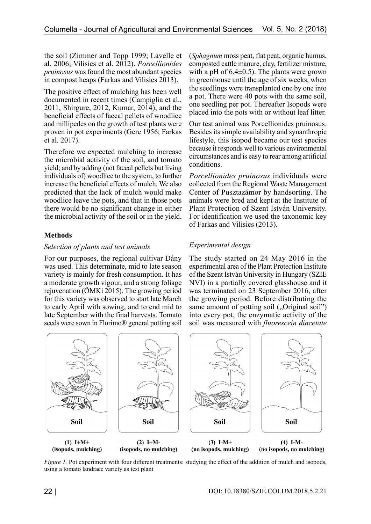the soil (Zimmer and Topp 1999; Lavelle et al. 2006; [Vilisics et al. 2012](https://doi.org/10.3897/zookeys.176.2470)). *Porcellionides pruinosus* was found the most abundant species in compost heaps (Farkas and Vilisics 2013).

The positive effect of mulching has been well documented in recent times ([Campiglia et al.,](http://www.sciencedirect.com/science/article/pii/S0304423811004183?via%3Dihub)  [2011, Shirgure, 2012, Kumar, 2014\),](http://www.sciencedirect.com/science/article/pii/S0304423811004183?via%3Dihub) and the beneficial effects of faecal pellets of woodlice and millipedes on the growth of test plants were proven in pot experiments (Gere 1956; [Farkas](http://bio.univet.hu/istib2017/res/10th_ISTIB_abstract_volume_2017_08_15.pdf)  [et al. 2017](http://bio.univet.hu/istib2017/res/10th_ISTIB_abstract_volume_2017_08_15.pdf)).

Therefore we expected mulching to increase the microbial activity of the soil, and tomato yield; and by adding (not faecal pellets but living individuals of) woodlice to the system, to further increase the beneficial effects of mulch. We also predicted that the lack of mulch would make woodlice leave the pots, and that in those pots there would be no significant change in either the microbial activity of the soil or in the yield.

# **Methods**

### *Selection of plants and test animals*

For our purposes, the regional cultivar Dány was used. This determinate, mid to late season variety is mainly for fresh consumption. It has a moderate growth vigour, and a strong foliage rejuvenation [\(ÖMKi 2015](http://www.biokutatas.hu/images/stories/kiadvanyok/paradicsom-mb-net.pdf)). The growing period for this variety was observed to start late March to early April with sowing, and to end mid to late September with the final harvests. Tomato seeds were sown in Florimo® general potting soil (*Sphagnum* moss peat, flat peat, organic humus, composted cattle manure, clay, fertilizer mixture, with a pH of  $6.4\pm0.5$ ). The plants were grown in greenhouse until the age of six weeks, when the seedlings were transplanted one by one into a pot. There were 40 pots with the same soil, one seedling per pot. Thereafter Isopods were placed into the pots with or without leaf litter.

Our test animal was Porcellionides pruinosus. Besides its simple availability and synanthropic lifestyle, this isopod became our test species because it responds well to various environmental circumstances and is easy to rear among artificial conditions.

*Porcellionides pruinosus* individuals were collected from the Regional Waste Management Center of Pusztazámor by handsorting. The animals were bred and kept at the Institute of Plant Protection of Szent István University. For identification we used the taxonomic key of [Farkas and Vilisics \(2013\).](http://www.smmi.hu/termtud/ns/ns23/89-124FarkasVilisics.pdf)

# *Experimental design*

The study started on 24 May 2016 in the experimental area of the Plant Protection Institute of the Szent István University in Hungary (SZIE NVI) in a partially covered glasshouse and it was terminated on 23 September 2016, after the growing period. Before distributing the same amount of potting soil ("Original soil") into every pot, the enzymatic activity of the soil was measured with *fluorescein diacetate* 



*Figure 1*. Pot experiment with four different treatments: studying the effect of the addition of mulch and isopods, using a tomato landrace variety as test plant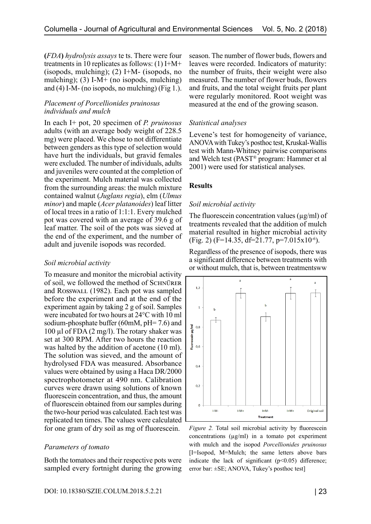**(***FDA***)** *hydrolysis assays* te ts. There were four treatments in 10 replicates as follows: (1) I+M+ (isopods, mulching); (2) I+M- (isopods, no mulching); (3) I-M+ (no isopods, mulching) and  $(4)$  I-M- (no isopods, no mulching) (Fig 1.).

### *Placement of Porcellionides pruinosus individuals and mulch*

In each I+ pot, 20 specimen of *P. pruinosus*  adults (with an average body weight of 228.5 mg) were placed. We chose to not differentiate between genders as this type of selection would have hurt the individuals, but gravid females were excluded. The number of individuals, adults and juveniles were counted at the completion of the experiment. Mulch material was collected from the surrounding areas: the mulch mixture contained walnut (*Juglans regia*), elm (*Ulmus minor*) and maple (*Acer platanoides*) leaf litter of local trees in a ratio of 1:1:1. Every mulched pot was covered with an average of 39.6 g of leaf matter. The soil of the pots was sieved at the end of the experiment, and the number of adult and juvenile isopods was recorded.

### *Soil microbial activity*

To measure and monitor the microbial activity of soil, we followed the method of SCHNÜRER and Rosswall (1982). Each pot was sampled before the experiment and at the end of the experiment again by taking 2 g of soil. Samples were incubated for two hours at 24°C with 10 ml sodium-phosphate buffer (60mM, pH= 7.6) and 100 µl of FDA (2 mg/l). The rotary shaker was set at 300 RPM. After two hours the reaction was halted by the addition of acetone (10 ml). The solution was sieved, and the amount of hydrolysed FDA was measured. Absorbance values were obtained by using a Haca DR/2000 spectrophotometer at 490 nm. Calibration curves were drawn using solutions of known fluorescein concentration, and thus, the amount of fluorescein obtained from our samples during the two-hour period was calculated. Each test was replicated ten times. The values were calculated for one gram of dry soil as mg of fluorescein.

### *Parameters of tomato*

Both the tomatoes and their respective pots were sampled every fortnight during the growing season. The number of flower buds, flowers and leaves were recorded. Indicators of maturity: the number of fruits, their weight were also measured. The number of flower buds, flowers and fruits, and the total weight fruits per plant were regularly monitored. Root weight was measured at the end of the growing season.

# *Statistical analyses*

Levene's test for homogeneity of variance, ANOVA with Tukey's posthoc test, Kruskal-Wallis test with Mann-Whitney pairwise comparisons and Welch test (PAST® program: Hammer et al 2001) were used for statistical analyses.

### **Results**

### *Soil microbial activity*

The fluorescein concentration values  $(\mu g/ml)$  of treatments revealed that the addition of mulch material resulted in higher microbial activity  $(Fig. 2)$   $(F=14.35, df=21.77, p=7.015x10^{-6}).$ 

Regardless of the presence of isopods, there was a significant difference between treatments with or without mulch, that is, between treatmentsww



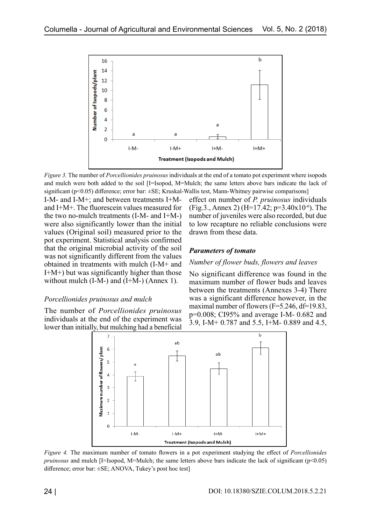

*Figure 3.* The number of *Porcellionides pruinosus* individuals at the end of a tomato pot experiment where isopods and mulch were both added to the soil [I=Isopod, M=Mulch; the same letters above bars indicate the lack of significant (p<0.05) difference; error bar: ±SE; Kruskal-Wallis test, Mann-Whitney pairwise comparisons]

I-M- and I-M+; and between treatments I+Mand I+M+. The fluorescein values measured for the two no-mulch treatments (I-M- and I+M-) were also significantly lower than the initial values (Original soil) measured prior to the pot experiment. Statistical analysis confirmed that the original microbial activity of the soil was not significantly different from the values obtained in treatments with mulch (I-M+ and I+M+) but was significantly higher than those without mulch  $(I-M-)$  and  $(I+M-)$  (Annex 1).

### *Porcellionides pruinosus and mulch*

The number of *Porcellionides pruinosus* individuals at the end of the experiment was lower than initially, but mulching had a beneficial



#### *Parameters of tomato*

#### *Number of flower buds, flowers and leaves*

No significant difference was found in the maximum number of flower buds and leaves between the treatments (Annexes 3-4) There was a significant difference however, in the maximal number of flowers (F=5.246, df=19.83, p=0.008; CI95% and average I-M- 0.682 and 3.9, I-M+ 0.787 and 5.5, I+M- 0.889 and 4.5,



*Figure 4.* The maximum number of tomato flowers in a pot experiment studying the effect of *Porcellionides pruinosus* and mulch [I=Isopod, M=Mulch; the same letters above bars indicate the lack of significant (p<0.05) difference; error bar: ±SE; ANOVA, Tukey's post hoc test]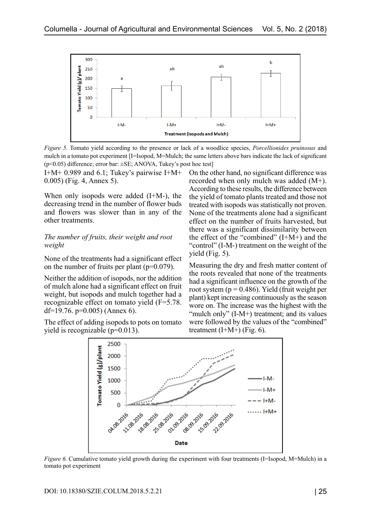

*Figure 5.* Tomato yield according to the presence or lack of a woodlice species, *Porcellionides pruinosus* and mulch in a tomato pot experiment [I=Isopod, M=Mulch; the same letters above bars indicate the lack of significant ( $p$ <0.05) difference; error bar:  $\pm$ SE; ANOVA, Tukey's post hoc test]

I+M+ 0.989 and 6.1; Tukey's pairwise I+M+ 0.005) (Fig. 4, Annex 5).

When only isopods were added (I+M-), the decreasing trend in the number of flower buds and flowers was slower than in any of the other treatments.

### *The number of fruits, their weight and root weight*

None of the treatments had a significant effect on the number of fruits per plant ( $p=0.079$ ).

Neither the addition of isopods, nor the addition of mulch alone had a significant effect on fruit weight, but isopods and mulch together had a recognizable effect on tomato yield (F=5.78. df=19.76.  $p=0.005$ ) (Annex 6).

The effect of adding isopods to pots on tomato yield is recognizable (p=0.013).

On the other hand, no significant difference was recorded when only mulch was added (M+). According to these results, the difference between the yield of tomato plants treated and those not treated with isopods was statistically not proven. None of the treatments alone had a significant effect on the number of fruits harvested, but there was a significant dissimilarity between the effect of the "combined" (I+M+) and the "control" (I-M-) treatment on the weight of the yield (Fig. 5).

Measuring the dry and fresh matter content of the roots revealed that none of the treatments had a significant influence on the growth of the root system ( $p = 0.486$ ). Yield (fruit weight per plant) kept increasing continuously as the season wore on. The increase was the highest with the "mulch only" (I-M+) treatment; and its values were followed by the values of the "combined" treatment  $(I+M+)$  (Fig. 6).



*Figure 6.* Cumulative tomato yield growth during the experiment with four treatments (I=Isopod, M=Mulch) in a tomato pot experiment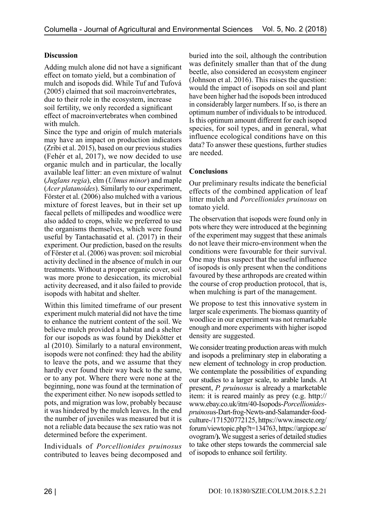# **Discussion**

Adding mulch alone did not have a significant effect on tomato yield, but a combination of mulch and isopods did. While [Tuf and Tufová](http://147.213.211.222/node/2528)  [\(2005\)](http://147.213.211.222/node/2528) claimed that soil macroinvertebrates, due to their role in the ecosystem, increase soil fertility, we only recorded a significant effect of macroinvertebrates when combined with mulch.

Since the type and origin of mulch materials may have an impact on production indicators ([Zribi et al. 2015\),](http://www.sciencedirect.com/science/article/pii/S0167198714002682?via%3Dihub) based on our previous studies (Fehér et al, 2017), we now decided to use organic mulch and in particular, the locally available leaf litter: an even mixture of walnut (*Juglans regia*), elm (*Ulmus minor*) and maple (*Acer platanoides*). Similarly to our experiment, [Förster et al. \(2006\)](https://www.researchgate.net/publication/248907423_Plant_growth_and_microbial_activity_in_a_tropical_soil_amended_with_faecal_pellets_from_millipedes_and_woodlice) also mulched with a various mixture of forest leaves, but in their set up faecal pellets of millipedes and woodlice were also added to crops, while we preferred to use the organisms themselves, which were found useful by Tantachasatid et al. (2017) in their experiment. Our prediction, based on the results of [Förster et al. \(2006\)](https://www.researchgate.net/publication/248907423_Plant_growth_and_microbial_activity_in_a_tropical_soil_amended_with_faecal_pellets_from_millipedes_and_woodlice) was proven: soil microbial activity declined in the absence of mulch in our treatments. Without a proper organic cover, soil was more prone to desiccation, its microbial activity decreased, and it also failed to provide isopods with habitat and shelter.

Within this limited timeframe of our present experiment mulch material did not have the time to enhance the nutrient content of the soil. We believe mulch provided a habitat and a shelter for our isopods as was found by Diekötter et al (2010). Similarly to a natural environment, isopods were not confined: they had the ability to leave the pots, and we assume that they hardly ever found their way back to the same, or to any pot. Where there were none at the beginning, none was found at the termination of the experiment either. No new isopods settled to pots, and migration was low, probably because it was hindered by the mulch leaves. In the end the number of juveniles was measured but it is not a reliable data because the sex ratio was not determined before the experiment.

Individuals of *Porcellionides pruinosus* contributed to leaves being decomposed and buried into the soil, although the contribution was definitely smaller than that of the dung beetle, also considered an ecosystem engineer ([Johnson et al. 2016](http://onlinelibrary.wiley.com/doi/10.1111/1365-2435.12582/abstract)). This raises the question: would the impact of isopods on soil and plant have been higher had the isopods been introduced in considerably larger numbers. If so, is there an optimum number of individuals to be introduced. Is this optimum amount different for each isopod species, for soil types, and in general, what influence ecological conditions have on this data? To answer these questions, further studies are needed.

# **Conclusions**

Our preliminary results indicate the beneficial effects of the combined application of leaf litter mulch and *Porcellionides pruinosus* on tomato yield.

The observation that isopods were found only in pots where they were introduced at the beginning of the experiment may suggest that these animals do not leave their micro-environment when the conditions were favourable for their survival. One may thus suspect that the useful influence of isopods is only present when the conditions favoured by these arthropods are created within the course of crop production protocol, that is, when mulching is part of the management.

We propose to test this innovative system in larger scale experiments. The biomass quantity of woodlice in our experiment was not remarkable enough and more experiments with higher isopod density are suggested.

We consider treating production areas with mulch and isopods a preliminary step in elaborating a new element of technology in crop production. We contemplate the possibilities of expanding our studies to a larger scale, to arable lands. At present, *P. pruinosus* is already a marketable item: it is reared mainly as prey (e.g. [http://](http://www.ebay.co.uk/itm/40-Isopods-Porcellionides-pruinosus-Dart-frog-Newts-and-Salamander-food-culture-/171520772125) [www.ebay.co.uk/itm/40-Isopods-](http://www.ebay.co.uk/itm/40-Isopods-Porcellionides-pruinosus-Dart-frog-Newts-and-Salamander-food-culture-/171520772125)*Porcellionidespruinosu*[s-Dart-frog-Newts-and-Salamander-food](http://www.ebay.co.uk/itm/40-Isopods-Porcellionides-pruinosus-Dart-frog-Newts-and-Salamander-food-culture-/171520772125)[culture-/171520772125](http://www.ebay.co.uk/itm/40-Isopods-Porcellionides-pruinosus-Dart-frog-Newts-and-Salamander-food-culture-/171520772125), [https://www.insecte.org/](https://www.insecte.org/forum/viewtopic.php?t=134763) [forum/viewtopic.php?t=134763](https://www.insecte.org/forum/viewtopic.php?t=134763), [https://argiope.se/](https://argiope.se/ovogram/) [ovogram/](https://argiope.se/ovogram/)**).** We suggest a series of detailed studies to take other steps towards the commercial sale of isopods to enhance soil fertility.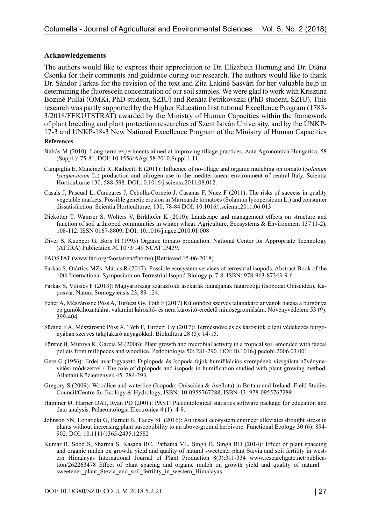### **Acknowledgements**

The authors would like to express their appreciation to Dr. Elizabeth Hornung and Dr. Diána Csonka for their comments and guidance during our research. The authors would like to thank Dr. Sándor Farkas for the revision of the text and Zita Lakiné Sasvári for her valuable help in determining the fluorescein concentration of our soil samples. We were glad to work with Krisztina Boziné Pullai (ÖMKi, PhD student, SZIU) and Renáta Petrikovszki (PhD student, SZIU). This research was partly supported by the Higher Education Institutional Excellence Program (1783- 3/2018/FEKUTSTRAT) awarded by the Ministry of Human Capacities within the framework of plant breeding and plant protection researches of Szent István University, and by the ÚNKP-17-3 and ÚNKP-18-3 New National Excellence Program of the Ministry of Human Capacities

#### **References**

- Birkás M (2010): Long-term experiments aimed at improving tillage practices. Acta Agronomica Hungarica, 58 (Suppl.): 75-81. DOI: 10.1556/AAgr.58.2010.Suppl.1.11
- Campiglia E, Mancinelli R, Radicetti E (2011): Influence of no-tillage and organic mulching on tomato (*Solanum lycopersicum* L.) production and nitrogen use in the mediterranean environment of central Italy. Scientia Horticulturae 130, 588-598. DOI:10.1016/j.scienta.2011.08.012.
- Casals J, Pascual L, Canizares J, Cebolla-Cornejo J, Casanas F, Nuez F (2011): The risks of success in quality vegetable markets: Possible genetic erosion in Marmande tomatoes (Solanum lycopersicum L.) and consumer dissatisfaction. Scientia Horticulturae, 130, 78-84 DOI: 10.1016/j.scienta.2011.06.013
- Diekötter T, Wamser S. Wolters V, Birkhofer K (2010): Landscape and management effects on structure and function of soil arthropod communities in winter wheat. Agriculture, Ecosystems & Environment 137 (1-2), 108-112. ISSN 0167-8809, DOI: [10.1016/j.agee.2010.01.008](https://doi.org/10.1016/j.agee.2010.01.008)
- Diver S, Kuepper G, Born H (1995) Organic tomato production. National Center for Appropriate Technology (ATTRA) Publication #CT073/149 NCAT IP439.
- FAOSTAT (www.fao.org/faostat/en/#home) [Retrieved 15-06-2018]
- Farkas S, Otártics MZs, Mátics R (2017): Possible ecosystem services of terrestrial isopods. Abstract Book of the 10th International Symposium on Terrestrial Isopod Biology p. 7-8. ISBN: 978-963-87343-9-6
- Farkas S, Vilisics F (2013): Magyarország szárazföldi ászkarák faunájának határozója (Isopoda: Oniscidea), Kaposvár. Natura Somogyiensis 23, 89-124.
- Fehér A, Mészárosné Póss A, Turóczi Gy, Tóth F (2017) Különböző szerves talajtakaró anyagok hatása a burgonya ép gumókihozatalára, valamint károsító- és nem károsító-eredetű minőségromlására. Növényvédelem 53 (9): 399-404.
- Südiné F.A, Mészárosné Póss A, Tóth F, Turóczi Gy (2017): Termésnövelés és károsítók elleni védekezés burgonyában szerves talajtakaró anyagokkal. Biokultúra 28 (5): 14-15.
- Förster B, Muroya K, Garcia M (2006): Plant growth and microbial activity in a tropical soil amended with faecal pellets from millipedes and woodlice. Pedobiologia 50: 281-290. DOI:10.1016/j.pedobi.2006.03.001
- Gere G (1956): Erdei avarfogyasztó Diplopoda és Isopoda fajok humifikációs szerepének vizsgálata növénynevelési módszerrel / The role of diplopods and isopods in humification studied with plant growing method. Állattani Közlemények 45: 284-293.
- Gregory S (2009): Woodlice and waterlice (Isopoda: Oniscidea & Asellota) in Britain and Ireland. Field Studies Council/Centre for Ecology & Hydrology, ISBN: 10-0955767288, ISBN-13: 978-0955767289
- Hammer Ø, Harper DAT, Ryan PD (2001): PAST: Paleontological statistics software package for education and data analysis. Palaeontologia Electronica 4 (1): 4-9.
- Johnson SN, Lopaticki G, Barnett K, Facey SL (2016): An insect ecosystem engineer alleviates drought stress in plants without increasing plant susceptibility to an above-ground herbivore. Functional Ecology 30 (6): 894- 902. DOI: 10.1111/1365-2435.12582
- Kumar R, Sood S, Sharma S, Kasana RC, Pathania VL, Singh B, Singh RD (2014): Effect of plant spaceing and organic mulch on growth, yield and quality of natural sweetener plant Stevia and soil fertility in western Himalayas International Journal of Plant Production 8(3):311-334 [www.researchgate.net/publica](http://www.researchgate.net/publication/262263478_Effect_of_plant_spacing_and_organic_mulch_on_growth_yield_and_quality_of_natural_sweetener_plant_Stevia_and_soil_fertility_in_western_Himalayas)tion/262263478 Effect of plant spacing and organic mulch on growth yield and quality of natural sweetener plant Stevia and soil fertility in western Himalayas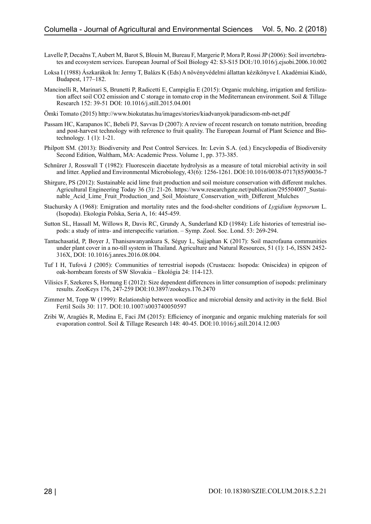- Lavelle P, Decaëns T, Aubert M, Barot S, Blouin M, Bureau F, Margerie P, Mora P, Rossi JP (2006): Soil invertebrates and ecosystem services. European Journal of Soil Biology 42: S3-S15 DOI:/10.1016/j.ejsobi.2006.10.002
- Loksa I (1988) Ászkarákok In: Jermy T, Balázs K (Eds) A növényvédelmi állattan kézikönyve I. Akadémiai Kiadó, Budapest, 177–182.
- Mancinelli R, Marinari S, Brunetti P, Radicetti E, Campiglia E (2015): Organic mulching, irrigation and fertilization affect soil CO2 emission and C storage in tomato crop in the Mediterranean environment. Soil & Tillage Research 152: 39-51 DOI: [10.1016/j.still.2015.04.001](https://doi.org/10.1016/j.still.2015.04.001)
- Ömki Tomato (2015)<http://www.biokutatas.hu/images/stories/kiadvanyok/paradicsom-mb-net.pdf>
- Passam HC, Karapanos IC, Bebeli PJ, Savvas D (2007): A review of recent research on tomato nutrition, breeding and post-harvest technology with reference to fruit quality. The European Journal of Plant Science and Biotechnology. 1 (1): 1-21.
- Philpott SM. (2013): Biodiversity and Pest Control Services. In: Levin S.A. (ed.) Encyclopedia of Biodiversity Second Edition, Waltham, MA: Academic Press. Volume 1, pp. 373-385.
- Schnürer J, Rosswall T (1982): Fluorescein diacetate hydrolysis as a measure of total microbial activity in soil and litter. Applied and Environmental Microbiology, 43(6): 1256-1261. DOI:10.1016/0038-0717(85)90036-7
- Shirgure, PS (2012): Sustainable acid lime fruit production and soil moisture conservation with different mulches. Agricultural Engineering Today 36 (3): 21-26. https://www.researchgate.net/publication/295504007\_Sustainable Acid Lime Fruit Production and Soil Moisture Conservation with Different Mulches
- Stachursky A (1968): Emigration and mortality rates and the food-shelter conditions of *Lygidium hypnorum* L. (Isopoda). Ekologia Polska, Seria A, 16: 445-459.
- Sutton SL, Hassall M, Willows R, Davis RC, Grundy A, Sunderland KD (1984): Life histories of terrestrial isopods: a study of intra- and interspecific variation. – Symp. Zool. Soc. Lond. 53: 269-294.
- Tantachasatid, P, Boyer J, Thanisawanyankura S, Séguy L, Sajjaphan K (2017): Soil macrofauna communities under plant cover in a no-till system in Thailand. Agriculture and Natural Resources, 51 (1): 1-6, ISSN 2452- 316X, DOI: [10.1016/j.anres.2016.08.004](https://doi.org/10.1016/j.anres.2016.08.004).
- Tuf I H, Tufová J (2005): Communities of terrestrial isopods (Crustacea: Isopoda: Oniscidea) in epigeon of oak-hornbeam forests of SW Slovakia – Ekológia 24: 114-123.
- Vilisics F, Szekeres S, Hornung E (2012): Size dependent differences in litter consumption of isopods: preliminary results. ZooKeys 176, 247-259 DOI:10.3897/zookeys.176.2470
- Zimmer M, Topp W (1999): Relationship between woodlice and microbial density and activity in the field. Biol Fertil Soils 30: 117. DOI:10.1007/s003740050597
- Zribi W, Aragüés R, Medina E, Faci JM (2015): Efficiency of inorganic and organic mulching materials for soil evaporation control. Soil & Tillage Research 148: 40-45. DOI:10.1016/j.still.2014.12.003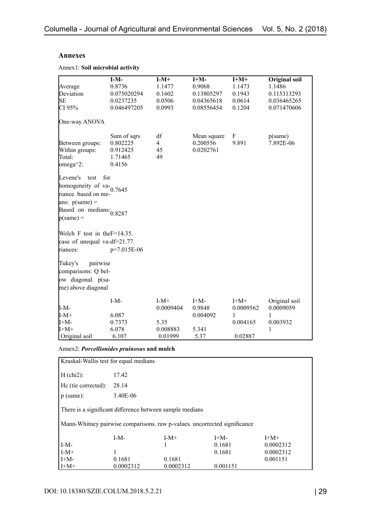## **Annexes**

|  |  | Annex1: Soil microbial activity |  |
|--|--|---------------------------------|--|
|--|--|---------------------------------|--|

|                                  | $I-M-$      | $I-M+$         | $I+M-$      | $I+M+$    | <b>Original soil</b> |
|----------------------------------|-------------|----------------|-------------|-----------|----------------------|
| Average                          | 0.8736      | 1.1477         | 0.9068      | 1.1473    | 1.1486               |
| Deviation                        | 0.075020294 | 0.1602         | 0.13805297  | 0.1943    | 0.115313293          |
| <b>SE</b>                        | 0.0237235   | 0.0506         | 0.04365618  | 0.0614    | 0.036465265          |
| CI 95%                           | 0.046497205 | 0.0993         | 0.08556454  | 0.1204    | 0.071470606          |
| One-way ANOVA                    |             |                |             |           |                      |
|                                  | Sum of sqrs | df             | Mean square | F         | p(same)              |
| Between groups:                  | 0.802225    | $\overline{4}$ | 0.200556    | 9.891     | 7.892E-06            |
| Within groups:                   | 0.912425    | 45             | 0.0202761   |           |                      |
| Total:                           | 1.71465     | 49             |             |           |                      |
| $omega^2$ :                      | 0.4156      |                |             |           |                      |
| Levene's<br>test                 | for         |                |             |           |                      |
| homogeneity of va-               |             |                |             |           |                      |
| riance. based on me-             | 0.7645      |                |             |           |                      |
| ans: $p(same) =$                 |             |                |             |           |                      |
|                                  |             |                |             |           |                      |
| Based on medians: 0.8287         |             |                |             |           |                      |
| $p(same) =$                      |             |                |             |           |                      |
| Welch F test in the $F=14.35$ .  |             |                |             |           |                      |
| case of unequal va-df= $21.77$ . |             |                |             |           |                      |
| riances:                         | p=7.015E-06 |                |             |           |                      |
|                                  |             |                |             |           |                      |
| pairwise<br>Tukey's              |             |                |             |           |                      |
| comparisons: Q bel-              |             |                |             |           |                      |
| ow diagonal. p(sa-               |             |                |             |           |                      |
| me) above diagonal               |             |                |             |           |                      |
|                                  | $I-M-$      | $I-M+$         | $I+M-$      | $I+M+$    | Original soil        |
| I-M-                             |             | 0.0009404      | 0.9848      | 0.0009562 | 0.0009059            |
| $I-M+$                           | 6.087       |                | 0.004092    | 1         | 1                    |
| I+M-                             | 0.7373      | 5.35           |             | 0.004165  | 0.003932             |
| $I+M+$                           | 6.078       | 0.008883       | 5.341       |           | 1                    |
| Original soil                    | 6.107       | 0.01999        | 5.37        | 0.02887   |                      |

Annex2: *Porcellionides pruinosus* **and mulch**

| Kruskal-Wallis test for equal medians                                     |           |           |          |           |  |  |  |
|---------------------------------------------------------------------------|-----------|-----------|----------|-----------|--|--|--|
| $H (chi2)$ :                                                              | 17.42     |           |          |           |  |  |  |
| He (tie corrected):                                                       | 28.14     |           |          |           |  |  |  |
| $p$ (same):                                                               | 3.40E-06  |           |          |           |  |  |  |
| There is a significant difference between sample medians                  |           |           |          |           |  |  |  |
| Mann-Whitney pairwise comparisons. raw p-values. uncorrected significance |           |           |          |           |  |  |  |
|                                                                           | $I-M-$    | $I-M+$    | $I+M-$   | $I+M+$    |  |  |  |
| $I-M-$                                                                    |           |           | 0.1681   | 0.0002312 |  |  |  |
| $I-M+$                                                                    | 1         |           | 0.1681   | 0.0002312 |  |  |  |
| $H+M-$                                                                    | 0.1681    | 0.1681    |          | 0.001151  |  |  |  |
| $H+M+$                                                                    | 0.0002312 | 0.0002312 | 0.001151 |           |  |  |  |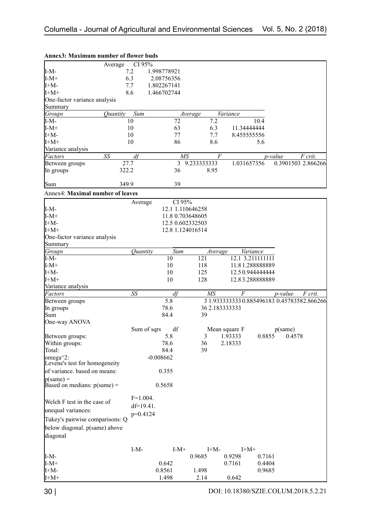|                                         | CI 95%<br>Average                    |                  |             |                                             |                 |                    |         |
|-----------------------------------------|--------------------------------------|------------------|-------------|---------------------------------------------|-----------------|--------------------|---------|
| $I-M-$                                  | 7.2                                  | 1.998778921      |             |                                             |                 |                    |         |
| $I-M+$                                  | 6.3                                  | 2.08756356       |             |                                             |                 |                    |         |
| $I+M-$                                  | 7.7                                  | 1.802267141      |             |                                             |                 |                    |         |
| $I+M+$                                  | 8.6                                  | 1.466702744      |             |                                             |                 |                    |         |
| One-factor variance analysis            |                                      |                  |             |                                             |                 |                    |         |
| Summary                                 |                                      |                  |             |                                             |                 |                    |         |
| Groups                                  | Sum<br><i><u><b>Ouantity</b></u></i> |                  | Average     | <b>Variance</b>                             |                 |                    |         |
| $I-M-$                                  | 10                                   | $\overline{72}$  | 7.2         |                                             | 10.4            |                    |         |
| $I-M+$                                  | 10                                   | 63               | 6.3         | 11.34444444                                 |                 |                    |         |
| $I+M-$                                  | 10                                   | 77               | 7.7         | 8.455555556                                 |                 |                    |         |
| $I+M+$                                  |                                      |                  | 8.6         |                                             |                 |                    |         |
|                                         | 10                                   | 86               |             |                                             | 5.6             |                    |         |
| Variance analysis                       |                                      |                  |             |                                             |                 |                    |         |
| Factors                                 | SS<br>df                             | МS               |             | F                                           | <i>p</i> -value |                    | F crit. |
| Between groups                          | 27.7                                 | 3                | 9.233333333 | 1.031657356                                 |                 | 0.3901503 2.866266 |         |
| In groups                               | 322.2                                | 36               | 8.95        |                                             |                 |                    |         |
|                                         |                                      |                  |             |                                             |                 |                    |         |
| Sum                                     | 349.9                                | 39               |             |                                             |                 |                    |         |
| <b>Annex4: Maximal number of leaves</b> |                                      |                  |             |                                             |                 |                    |         |
|                                         |                                      |                  |             |                                             |                 |                    |         |
|                                         | Average                              | CI 95%           |             |                                             |                 |                    |         |
| $I-M-$                                  |                                      | 12.1 1.110646258 |             |                                             |                 |                    |         |
| $I-M+$                                  |                                      | 11.8 0.703648605 |             |                                             |                 |                    |         |
| $I+M-$                                  |                                      | 12.5 0.602332503 |             |                                             |                 |                    |         |
| $I+M+$                                  |                                      | 12.8 1.124016514 |             |                                             |                 |                    |         |
| One-factor variance analysis            |                                      |                  |             |                                             |                 |                    |         |
| Summary                                 |                                      |                  |             |                                             |                 |                    |         |
| Groups                                  | Quantity                             | Sum              | Average     | Variance                                    |                 |                    |         |
| $I-M-$                                  |                                      | 10               | 121         | 12.1 3.211111111                            |                 |                    |         |
| $I-M+$                                  |                                      | 10               | 118         | 11.81.28888889                              |                 |                    |         |
| $I+M-$                                  |                                      | 10               | 125         | 12.50.944444444                             |                 |                    |         |
| $I+M+$                                  |                                      | 10               | 128         | 12.83.28888889                              |                 |                    |         |
| Variance analysis                       |                                      |                  |             |                                             |                 |                    |         |
| Factors                                 | SS                                   | df               | MS          | $\overline{F}$                              |                 | p-value            | F crit. |
|                                         |                                      | 5.8              |             | 3 1.933333333 0.885496183 0.45783582.866266 |                 |                    |         |
| Between groups                          |                                      | 78.6             |             |                                             |                 |                    |         |
| In groups                               |                                      |                  |             | 36 2.183333333                              |                 |                    |         |
| Sum                                     |                                      | 84.4             | 39          |                                             |                 |                    |         |
| One-way ANOVA                           |                                      |                  |             |                                             |                 |                    |         |
|                                         | Sum of sqrs                          | df               |             | Mean square F                               |                 | p(same)            |         |
| Between groups:                         |                                      | 5.8              |             | 3 1.93333                                   |                 | 0.8855 0.4578      |         |
| Within groups:                          |                                      | 78.6             | 36          | 2.18333                                     |                 |                    |         |
| Total:                                  |                                      | 84.4             | 39          |                                             |                 |                    |         |
| omega^2:                                |                                      | $-0.008662$      |             |                                             |                 |                    |         |
| Levene's test for homogeneity           |                                      |                  |             |                                             |                 |                    |         |
| of variance. based on means:            |                                      | 0.355            |             |                                             |                 |                    |         |
| $p(same) =$                             |                                      |                  |             |                                             |                 |                    |         |
| Based on medians: $p(same) =$           |                                      | 0.5658           |             |                                             |                 |                    |         |
|                                         | $F=1.004.$                           |                  |             |                                             |                 |                    |         |
| Welch F test in the case of             | $df=19.41$ .                         |                  |             |                                             |                 |                    |         |
| unequal variances:                      |                                      |                  |             |                                             |                 |                    |         |
| Tukey's pairwise comparisons: Q         | $p=0.4124$                           |                  |             |                                             |                 |                    |         |
|                                         |                                      |                  |             |                                             |                 |                    |         |
| below diagonal. p(same) above           |                                      |                  |             |                                             |                 |                    |         |
| diagonal                                |                                      |                  |             |                                             |                 |                    |         |
|                                         |                                      |                  |             |                                             |                 |                    |         |
|                                         | $I-M-$                               | $I-M+$           | $I+M-$      | $I+M+$                                      |                 |                    |         |
| $I-M-$                                  |                                      |                  | 0.9685      | 0.9298                                      | 0.7161          |                    |         |
| $I-M+$                                  |                                      | 0.642            |             | 0.7161                                      | 0.4404          |                    |         |
| $I+M-$                                  |                                      | 0.8561           | 1.498       |                                             | 0.9685          |                    |         |
| $I+M+$                                  |                                      | 1.498            | 2.14        | 0.642                                       |                 |                    |         |

# **Annex3: Maximum number of flower buds**